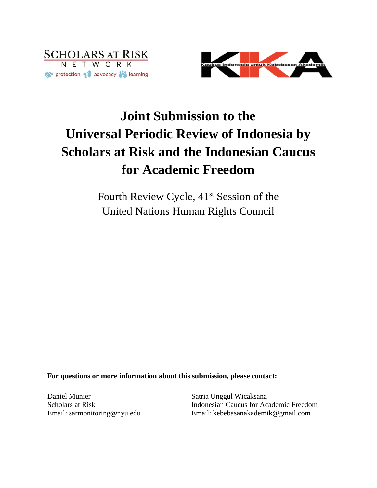



# **Joint Submission to the Universal Periodic Review of Indonesia by Scholars at Risk and the Indonesian Caucus for Academic Freedom**

Fourth Review Cycle, 41<sup>st</sup> Session of the United Nations Human Rights Council

**For questions or more information about this submission, please contact:**

Daniel Munier Scholars at Risk Email: sarmonitoring@nyu.edu

Satria Unggul Wicaksana Indonesian Caucus for Academic Freedom Email: kebebasanakademik@gmail.com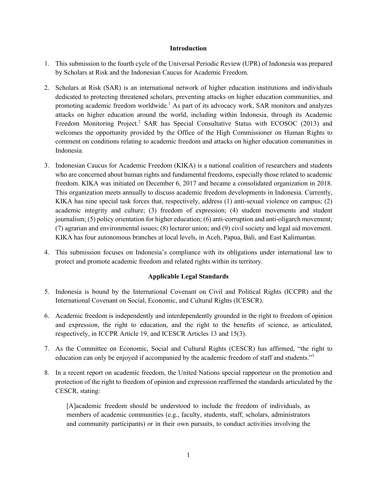### **Introduction**

- 1. This submission to the fourth cycle of the Universal Periodic Review (UPR) of Indonesia was prepared by Scholars at Risk and the Indonesian Caucus for Academic Freedom.
- 2. Scholars at Risk (SAR) is an international network of higher education institutions and individuals dedicated to protecting threatened scholars, preventing attacks on higher education communities, and promoting academic freedom worldwide.<sup>1</sup> As part of its advocacy work, SAR monitors and analyzes attacks on higher education around the world, including within Indonesia, through its Academic Freedom Monitoring Project.<sup>2</sup> SAR has Special Consultative Status with ECOSOC (2013) and welcomes the opportunity provided by the Office of the High Commissioner on Human Rights to comment on conditions relating to academic freedom and attacks on higher education communities in Indonesia.
- 3. Indonesian Caucus for Academic Freedom (KIKA) is a national coalition of researchers and students who are concerned about human rights and fundamental freedoms, especially those related to academic freedom. KIKA was initiated on December 6, 2017 and became a consolidated organization in 2018. This organization meets annually to discuss academic freedom developments in Indonesia. Currently, KIKA has nine special task forces that, respectively, address (1) anti-sexual violence on campus; (2) academic integrity and culture; (3) freedom of expression; (4) student movements and student journalism; (5) policy orientation for higher education; (6) anti-corruption and anti-oligarch movement; (7) agrarian and environmental issues; (8) lecturer union; and (9) civil society and legal aid movement. KIKA has four autonomous branches at local levels, in Aceh, Papua, Bali, and East Kalimantan.
- 4. This submission focuses on Indonesia's compliance with its obligations under international law to protect and promote academic freedom and related rights within its territory.

# **Applicable Legal Standards**

- 5. Indonesia is bound by the International Covenant on Civil and Political Rights (ICCPR) and the International Covenant on Social, Economic, and Cultural Rights (ICESCR).
- 6. Academic freedom is independently and interdependently grounded in the right to freedom of opinion and expression, the right to education, and the right to the benefits of science, as articulated, respectively, in ICCPR Article 19, and ICESCR Articles 13 and 15(3).
- 7. As the Committee on Economic, Social and Cultural Rights (CESCR) has affirmed, "the right to education can only be enjoyed if accompanied by the academic freedom of staff and students."<sup>3</sup>
- 8. In a recent report on academic freedom, the United Nations special rapporteur on the promotion and protection of the right to freedom of opinion and expression reaffirmed the standards articulated by the CESCR, stating:

[A]academic freedom should be understood to include the freedom of individuals, as members of academic communities (e.g., faculty, students, staff, scholars, administrators and community participants) or in their own pursuits, to conduct activities involving the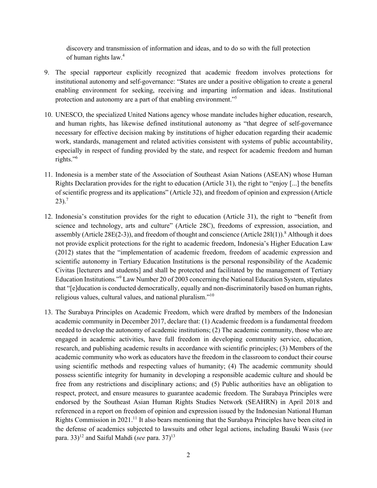discovery and transmission of information and ideas, and to do so with the full protection of human rights law.<sup>4</sup>

- 9. The special rapporteur explicitly recognized that academic freedom involves protections for institutional autonomy and self-governance: "States are under a positive obligation to create a general enabling environment for seeking, receiving and imparting information and ideas. Institutional protection and autonomy are a part of that enabling environment."<sup>5</sup>
- 10. UNESCO, the specialized United Nations agency whose mandate includes higher education, research, and human rights, has likewise defined institutional autonomy as "that degree of self-governance necessary for effective decision making by institutions of higher education regarding their academic work, standards, management and related activities consistent with systems of public accountability, especially in respect of funding provided by the state, and respect for academic freedom and human rights."6
- 11. Indonesia is a member state of the Association of Southeast Asian Nations (ASEAN) whose Human Rights Declaration provides for the right to education (Article 31), the right to "enjoy [...] the benefits of scientific progress and its applications" (Article 32), and freedom of opinion and expression (Article  $23$ ).<sup>7</sup>
- 12. Indonesia's constitution provides for the right to education (Article 31), the right to "benefit from science and technology, arts and culture" (Article 28C), freedoms of expression, association, and assembly (Article 28E(2-3)), and freedom of thought and conscience (Article 28I(1)).<sup>8</sup> Although it does not provide explicit protections for the right to academic freedom, Indonesia's Higher Education Law (2012) states that the "implementation of academic freedom, freedom of academic expression and scientific autonomy in Tertiary Education Institutions is the personal responsibility of the Academic Civitas [lecturers and students] and shall be protected and facilitated by the management of Tertiary Education Institutions."<sup>9</sup> Law Number 20 of 2003 concerning the National Education System, stipulates that "[e]ducation is conducted democratically, equally and non-discriminatorily based on human rights, religious values, cultural values, and national pluralism."10
- 13. The Surabaya Principles on Academic Freedom, which were drafted by members of the Indonesian academic community in December 2017, declare that: (1) Academic freedom is a fundamental freedom needed to develop the autonomy of academic institutions; (2) The academic community, those who are engaged in academic activities, have full freedom in developing community service, education, research, and publishing academic results in accordance with scientific principles; (3) Members of the academic community who work as educators have the freedom in the classroom to conduct their course using scientific methods and respecting values of humanity; (4) The academic community should possess scientific integrity for humanity in developing a responsible academic culture and should be free from any restrictions and disciplinary actions; and (5) Public authorities have an obligation to respect, protect, and ensure measures to guarantee academic freedom. The Surabaya Principles were endorsed by the Southeast Asian Human Rights Studies Network (SEAHRN) in April 2018 and referenced in a report on freedom of opinion and expression issued by the Indonesian National Human Rights Commission in 2021.<sup>11</sup> It also bears mentioning that the Surabaya Principles have been cited in the defense of academics subjected to lawsuits and other legal actions, including Basuki Wasis (*see* para.  $33$ <sup>12</sup> and Saiful Mahdi (*see* para.  $37$ )<sup>13</sup>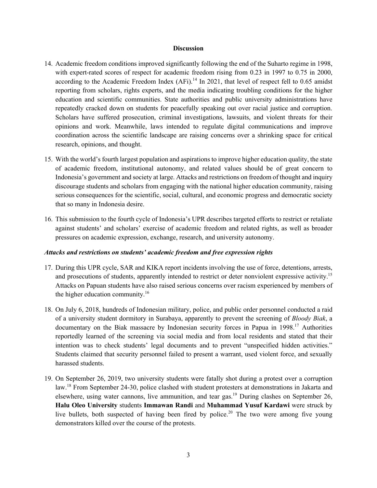#### **Discussion**

- 14. Academic freedom conditions improved significantly following the end of the Suharto regime in 1998, with expert-rated scores of respect for academic freedom rising from 0.23 in 1997 to 0.75 in 2000, according to the Academic Freedom Index  $(AFi)$ .<sup>14</sup> In 2021, that level of respect fell to 0.65 amidst reporting from scholars, rights experts, and the media indicating troubling conditions for the higher education and scientific communities. State authorities and public university administrations have repeatedly cracked down on students for peacefully speaking out over racial justice and corruption. Scholars have suffered prosecution, criminal investigations, lawsuits, and violent threats for their opinions and work. Meanwhile, laws intended to regulate digital communications and improve coordination across the scientific landscape are raising concerns over a shrinking space for critical research, opinions, and thought.
- 15. With the world's fourth largest population and aspirations to improve higher education quality, the state of academic freedom, institutional autonomy, and related values should be of great concern to Indonesia's government and society at large. Attacks and restrictions on freedom of thought and inquiry discourage students and scholars from engaging with the national higher education community, raising serious consequences for the scientific, social, cultural, and economic progress and democratic society that so many in Indonesia desire.
- 16. This submission to the fourth cycle of Indonesia's UPR describes targeted efforts to restrict or retaliate against students' and scholars' exercise of academic freedom and related rights, as well as broader pressures on academic expression, exchange, research, and university autonomy.

# *Attacks and restrictions on students' academic freedom and free expression rights*

- 17. During this UPR cycle, SAR and KIKA report incidents involving the use of force, detentions, arrests, and prosecutions of students, apparently intended to restrict or deter nonviolent expressive activity.<sup>15</sup> Attacks on Papuan students have also raised serious concerns over racism experienced by members of the higher education community. $16$
- 18. On July 6, 2018, hundreds of Indonesian military, police, and public order personnel conducted a raid of a university student dormitory in Surabaya, apparently to prevent the screening of *Bloody Biak*, a documentary on the Biak massacre by Indonesian security forces in Papua in 1998.<sup>17</sup> Authorities reportedly learned of the screening via social media and from local residents and stated that their intention was to check students' legal documents and to prevent "unspecified hidden activities." Students claimed that security personnel failed to present a warrant, used violent force, and sexually harassed students.
- 19. On September 26, 2019, two university students were fatally shot during a protest over a corruption law.<sup>18</sup> From September 24-30, police clashed with student protesters at demonstrations in Jakarta and elsewhere, using water cannons, live ammunition, and tear gas.<sup>19</sup> During clashes on September 26, **Halu Oleo University** students **Immawan Randi** and **Muhammad Yusuf Kardawi** were struck by live bullets, both suspected of having been fired by police.<sup>20</sup> The two were among five young demonstrators killed over the course of the protests.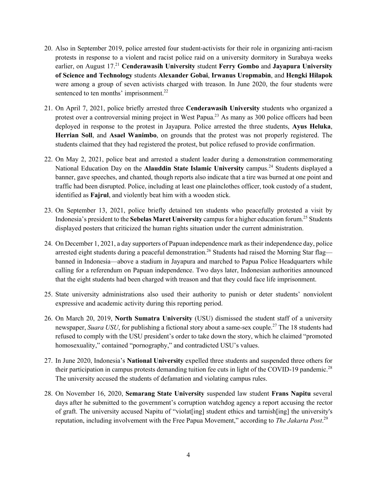- 20. Also in September 2019, police arrested four student-activists for their role in organizing anti-racism protests in response to a violent and racist police raid on a university dormitory in Surabaya weeks earlier, on August 17.21 **Cenderawasih University** student **Ferry Gombo** and **Jayapura University of Science and Technology** students **Alexander Gobai**, **Irwanus Uropmabin**, and **Hengki Hilapok** were among a group of seven activists charged with treason. In June 2020, the four students were sentenced to ten months' imprisonment.<sup>22</sup>
- 21. On April 7, 2021, police briefly arrested three **Cenderawasih University** students who organized a protest over a controversial mining project in West Papua.<sup>23</sup> As many as 300 police officers had been deployed in response to the protest in Jayapura. Police arrested the three students, **Ayus Heluka**, **Herrian Soll**, and **Asael Wanimbo**, on grounds that the protest was not properly registered. The students claimed that they had registered the protest, but police refused to provide confirmation.
- 22. On May 2, 2021, police beat and arrested a student leader during a demonstration commemorating National Education Day on the **Alauddin State Islamic University** campus.<sup>24</sup> Students displayed a banner, gave speeches, and chanted, though reports also indicate that a tire was burned at one point and traffic had been disrupted. Police, including at least one plainclothes officer, took custody of a student, identified as **Fajrul**, and violently beat him with a wooden stick.
- 23. On September 13, 2021, police briefly detained ten students who peacefully protested a visit by Indonesia's president to the **Sebelas Maret University** campus for a higher education forum.25 Students displayed posters that criticized the human rights situation under the current administration.
- 24. On December 1, 2021, a day supporters of Papuan independence mark as their independence day, police arrested eight students during a peaceful demonstration.<sup>26</sup> Students had raised the Morning Star flag banned in Indonesia—above a stadium in Jayapura and marched to Papua Police Headquarters while calling for a referendum on Papuan independence. Two days later, Indonesian authorities announced that the eight students had been charged with treason and that they could face life imprisonment.
- 25. State university administrations also used their authority to punish or deter students' nonviolent expressive and academic activity during this reporting period.
- 26. On March 20, 2019, **North Sumatra University** (USU) dismissed the student staff of a university newspaper, *Suara USU*, for publishing a fictional story about a same-sex couple.<sup>27</sup> The 18 students had refused to comply with the USU president's order to take down the story, which he claimed "promoted homosexuality," contained "pornography," and contradicted USU's values.
- 27. In June 2020, Indonesia's **National University** expelled three students and suspended three others for their participation in campus protests demanding tuition fee cuts in light of the COVID-19 pandemic.<sup>28</sup> The university accused the students of defamation and violating campus rules.
- 28. On November 16, 2020, **Semarang State University** suspended law student **Frans Napitu** several days after he submitted to the government's corruption watchdog agency a report accusing the rector of graft. The university accused Napitu of "violat[ing] student ethics and tarnish[ing] the university's reputation, including involvement with the Free Papua Movement," according to *The Jakarta Post*. 29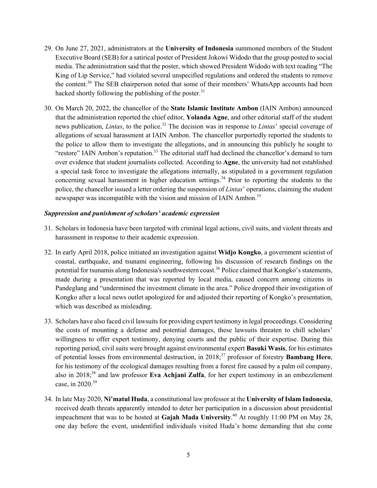- 29. On June 27, 2021, administrators at the **University of Indonesia** summoned members of the Student Executive Board (SEB) for a satirical poster of President Jokowi Widodo that the group posted to social media. The administration said that the poster, which showed President Widodo with text reading "The King of Lip Service," had violated several unspecified regulations and ordered the students to remove the content.<sup>30</sup> The SEB chairperson noted that some of their members' WhatsApp accounts had been hacked shortly following the publishing of the poster. $31$
- 30. On March 20, 2022, the chancellor of the **State Islamic Institute Ambon** (IAIN Ambon) announced that the administration reported the chief editor, **Yolanda Agne**, and other editorial staff of the student news publication, *Lintas*, to the police.<sup>32</sup> The decision was in response to *Lintas*' special coverage of allegations of sexual harassment at IAIN Ambon. The chancellor purportedly reported the students to the police to allow them to investigate the allegations, and in announcing this publicly he sought to "restore" IAIN Ambon's reputation.<sup>33</sup> The editorial staff had declined the chancellor's demand to turn over evidence that student journalists collected. According to **Agne**, the university had not established a special task force to investigate the allegations internally, as stipulated in a government regulation concerning sexual harassment in higher education settings.<sup>34</sup> Prior to reporting the students to the police, the chancellor issued a letter ordering the suspension of *Lintas*' operations, claiming the student newspaper was incompatible with the vision and mission of IAIN Ambon.<sup>35</sup>

## *Suppression and punishment of scholars' academic expression*

- 31. Scholars in Indonesia have been targeted with criminal legal actions, civil suits, and violent threats and harassment in response to their academic expression.
- 32. In early April 2018, police initiated an investigation against **Widjo Kongko**, a government scientist of coastal, earthquake, and tsunami engineering, following his discussion of research findings on the potential for tsunamis along Indonesia's southwestern coast.<sup>36</sup> Police claimed that Kongko's statements, made during a presentation that was reported by local media, caused concern among citizens in Pandeglang and "undermined the investment climate in the area." Police dropped their investigation of Kongko after a local news outlet apologized for and adjusted their reporting of Kongko's presentation, which was described as misleading.
- 33. Scholars have also faced civil lawsuits for providing expert testimony in legal proceedings. Considering the costs of mounting a defense and potential damages, these lawsuits threaten to chill scholars' willingness to offer expert testimony, denying courts and the public of their expertise. During this reporting period, civil suits were brought against environmental expert **Basuki Wasis**, for his estimates of potential losses from environmental destruction, in 2018;<sup>37</sup> professor of forestry **Bambang Hero**, for his testimony of the ecological damages resulting from a forest fire caused by a palm oil company, also in 2018;<sup>38</sup> and law professor **Eva Achjani Zulfa**, for her expert testimony in an embezzlement case, in 2020.39
- 34. In late May 2020, **Ni'matul Huda**, a constitutional law professor at the **University of Islam Indonesia**, received death threats apparently intended to deter her participation in a discussion about presidential impeachment that was to be hosted at **Gajah Mada University**. <sup>40</sup> At roughly 11:00 PM on May 28, one day before the event, unidentified individuals visited Huda's home demanding that she come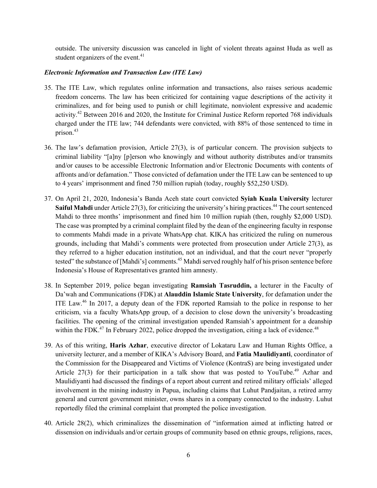outside. The university discussion was canceled in light of violent threats against Huda as well as student organizers of the event. $41$ 

# *Electronic Information and Transaction Law (ITE Law)*

- 35. The ITE Law, which regulates online information and transactions, also raises serious academic freedom concerns. The law has been criticized for containing vague descriptions of the activity it criminalizes, and for being used to punish or chill legitimate, nonviolent expressive and academic activity.<sup>42</sup> Between 2016 and 2020, the Institute for Criminal Justice Reform reported 768 individuals charged under the ITE law; 744 defendants were convicted, with 88% of those sentenced to time in prison.<sup>43</sup>
- 36. The law's defamation provision, Article 27(3), is of particular concern. The provision subjects to criminal liability "[a]ny [p]erson who knowingly and without authority distributes and/or transmits and/or causes to be accessible Electronic Information and/or Electronic Documents with contents of affronts and/or defamation." Those convicted of defamation under the ITE Law can be sentenced to up to 4 years' imprisonment and fined 750 million rupiah (today, roughly \$52,250 USD).
- 37. On April 21, 2020, Indonesia's Banda Aceh state court convicted **Syiah Kuala University** lecturer **Saiful Mahdi** under Article 27(3), for criticizing the university's hiring practices.<sup>44</sup> The court sentenced Mahdi to three months' imprisonment and fined him 10 million rupiah (then, roughly \$2,000 USD). The case was prompted by a criminal complaint filed by the dean of the engineering faculty in response to comments Mahdi made in a private WhatsApp chat. KIKA has criticized the ruling on numerous grounds, including that Mahdi's comments were protected from prosecution under Article 27(3), as they referred to a higher education institution, not an individual, and that the court never "properly tested" the substance of [Mahdi's] comments.<sup>45</sup> Mahdi served roughly half of his prison sentence before Indonesia's House of Representatives granted him amnesty.
- 38. In September 2019, police began investigating **Ramsiah Tasruddin,** a lecturer in the Faculty of Da'wah and Communications (FDK) at **Alauddin Islamic State University**, for defamation under the ITE Law.<sup>46</sup> In 2017, a deputy dean of the FDK reported Ramsiah to the police in response to her criticism, via a faculty WhatsApp group, of a decision to close down the university's broadcasting facilities. The opening of the criminal investigation upended Ramsiah's appointment for a deanship within the FDK.<sup>47</sup> In February 2022, police dropped the investigation, citing a lack of evidence.<sup>48</sup>
- 39. As of this writing, **Haris Azhar**, executive director of Lokataru Law and Human Rights Office, a university lecturer, and a member of KIKA's Advisory Board, and **Fatia Maulidiyanti**, coordinator of the Commission for the Disappeared and Victims of Violence (KontraS) are being investigated under Article  $27(3)$  for their participation in a talk show that was posted to YouTube.<sup>49</sup> Azhar and Maulidiyanti had discussed the findings of a report about current and retired military officials' alleged involvement in the mining industry in Papua, including claims that Luhut Pandjaitan, a retired army general and current government minister, owns shares in a company connected to the industry. Luhut reportedly filed the criminal complaint that prompted the police investigation.
- 40. Article 28(2), which criminalizes the dissemination of "information aimed at inflicting hatred or dissension on individuals and/or certain groups of community based on ethnic groups, religions, races,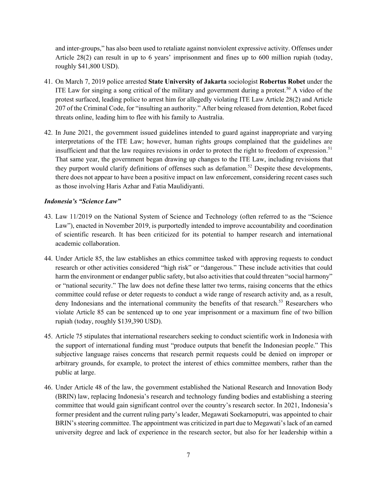and inter-groups," has also been used to retaliate against nonviolent expressive activity. Offenses under Article 28(2) can result in up to 6 years' imprisonment and fines up to 600 million rupiah (today, roughly \$41,800 USD).

- 41. On March 7, 2019 police arrested **State University of Jakarta** sociologist **Robertus Robet** under the ITE Law for singing a song critical of the military and government during a protest.<sup>50</sup> A video of the protest surfaced, leading police to arrest him for allegedly violating ITE Law Article 28(2) and Article 207 of the Criminal Code, for "insulting an authority." After being released from detention, Robet faced threats online, leading him to flee with his family to Australia.
- 42. In June 2021, the government issued guidelines intended to guard against inappropriate and varying interpretations of the ITE Law; however, human rights groups complained that the guidelines are insufficient and that the law requires revisions in order to protect the right to freedom of expression.<sup>51</sup> That same year, the government began drawing up changes to the ITE Law, including revisions that they purport would clarify definitions of offenses such as defamation.<sup>52</sup> Despite these developments, there does not appear to have been a positive impact on law enforcement, considering recent cases such as those involving Haris Azhar and Fatia Maulidiyanti.

# *Indonesia's "Science Law"*

- 43. Law 11/2019 on the National System of Science and Technology (often referred to as the "Science Law"), enacted in November 2019, is purportedly intended to improve accountability and coordination of scientific research. It has been criticized for its potential to hamper research and international academic collaboration.
- 44. Under Article 85, the law establishes an ethics committee tasked with approving requests to conduct research or other activities considered "high risk" or "dangerous." These include activities that could harm the environment or endanger public safety, but also activities that could threaten "social harmony" or "national security." The law does not define these latter two terms, raising concerns that the ethics committee could refuse or deter requests to conduct a wide range of research activity and, as a result, deny Indonesians and the international community the benefits of that research.<sup>53</sup> Researchers who violate Article 85 can be sentenced up to one year imprisonment or a maximum fine of two billion rupiah (today, roughly \$139,390 USD).
- 45. Article 75 stipulates that international researchers seeking to conduct scientific work in Indonesia with the support of international funding must "produce outputs that benefit the Indonesian people." This subjective language raises concerns that research permit requests could be denied on improper or arbitrary grounds, for example, to protect the interest of ethics committee members, rather than the public at large.
- 46. Under Article 48 of the law, the government established the National Research and Innovation Body (BRIN) law, replacing Indonesia's research and technology funding bodies and establishing a steering committee that would gain significant control over the country's research sector. In 2021, Indonesia's former president and the current ruling party's leader, Megawati Soekarnoputri, was appointed to chair BRIN's steering committee. The appointment was criticized in part due to Megawati's lack of an earned university degree and lack of experience in the research sector, but also for her leadership within a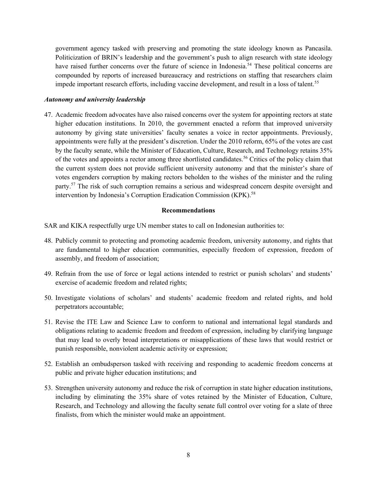government agency tasked with preserving and promoting the state ideology known as Pancasila. Politicization of BRIN's leadership and the government's push to align research with state ideology have raised further concerns over the future of science in Indonesia.<sup>54</sup> These political concerns are compounded by reports of increased bureaucracy and restrictions on staffing that researchers claim impede important research efforts, including vaccine development, and result in a loss of talent.<sup>55</sup>

#### *Autonomy and university leadership*

47. Academic freedom advocates have also raised concerns over the system for appointing rectors at state higher education institutions. In 2010, the government enacted a reform that improved university autonomy by giving state universities' faculty senates a voice in rector appointments. Previously, appointments were fully at the president's discretion. Under the 2010 reform, 65% of the votes are cast by the faculty senate, while the Minister of Education, Culture, Research, and Technology retains 35% of the votes and appoints a rector among three shortlisted candidates.<sup>56</sup> Critics of the policy claim that the current system does not provide sufficient university autonomy and that the minister's share of votes engenders corruption by making rectors beholden to the wishes of the minister and the ruling party.<sup>57</sup> The risk of such corruption remains a serious and widespread concern despite oversight and intervention by Indonesia's Corruption Eradication Commission (KPK).<sup>58</sup>

## **Recommendations**

SAR and KIKA respectfully urge UN member states to call on Indonesian authorities to:

- 48. Publicly commit to protecting and promoting academic freedom, university autonomy, and rights that are fundamental to higher education communities, especially freedom of expression, freedom of assembly, and freedom of association;
- 49. Refrain from the use of force or legal actions intended to restrict or punish scholars' and students' exercise of academic freedom and related rights;
- 50. Investigate violations of scholars' and students' academic freedom and related rights, and hold perpetrators accountable;
- 51. Revise the ITE Law and Science Law to conform to national and international legal standards and obligations relating to academic freedom and freedom of expression, including by clarifying language that may lead to overly broad interpretations or misapplications of these laws that would restrict or punish responsible, nonviolent academic activity or expression;
- 52. Establish an ombudsperson tasked with receiving and responding to academic freedom concerns at public and private higher education institutions; and
- 53. Strengthen university autonomy and reduce the risk of corruption in state higher education institutions, including by eliminating the 35% share of votes retained by the Minister of Education, Culture, Research, and Technology and allowing the faculty senate full control over voting for a slate of three finalists, from which the minister would make an appointment.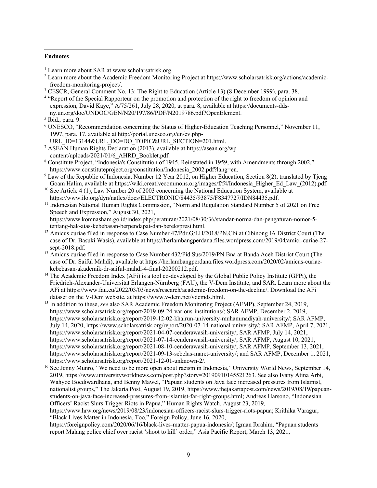#### **Endnotes**

<sup>1</sup> Learn more about SAR at www.scholarsatrisk.org.

- <sup>2</sup> Learn more about the Academic Freedom Monitoring Project at https://www.scholarsatrisk.org/actions/academicfreedom-monitoring-project/.
- <sup>3</sup> CESCR, General Comment No. 13: The Right to Education (Article 13) (8 December 1999), para. 38.
- <sup>4</sup> "Report of the Special Rapporteur on the promotion and protection of the right to freedom of opinion and expression, David Kaye," A/75/261, July 28, 2020, at para. 8, available at https://documents-ddsny.un.org/doc/UNDOC/GEN/N20/197/86/PDF/N2019786.pdf?OpenElement.

- <sup>6</sup> UNESCO, "Recommendation concerning the Status of Higher-Education Teaching Personnel," November 11, 1997, para. 17, available at http://portal.unesco.org/en/ev.php-
- URL\_ID=13144&URL\_DO=DO\_TOPIC&URL\_SECTION=201.html.
- <sup>7</sup> ASEAN Human Rights Declaration (2013), available at https://asean.org/wpcontent/uploads/2021/01/6\_AHRD\_Booklet.pdf.
- <sup>8</sup> Constitute Project, "Indonesia's Constitution of 1945, Reinstated in 1959, with Amendments through 2002," https://www.constituteproject.org/constitution/Indonesia\_2002.pdf?lang=en.
- <sup>9</sup> Law of the Republic of Indonesia, Number 12 Year 2012, on Higher Education, Section 8(2), translated by Tjeng Goam Halim, available at https://wiki.creativecommons.org/images/f/f4/Indonesia\_Higher\_Ed\_Law\_(2012).pdf.
- <sup>10</sup> See Article 4 (1), Law Number 20 of 2003 concerning the National Education System, available at https://www.ilo.org/dyn/natlex/docs/ELECTRONIC/84435/93875/F8347727/IDN84435.pdf.
- <sup>11</sup> Indonesian National Human Rights Commission, "Norm and Regulation Standard Number 5 of 2021 on Free Speech and Expression," August 30, 2021,

https://www.komnasham.go.id/index.php/peraturan/2021/08/30/36/standar-norma-dan-pengaturan-nomor-5 tentang-hak-atas-kebebasan-berpendapat-dan-berekspresi.html.

- <sup>12</sup> Amicus curiae filed in response to Case Number 47/Pdr.G/LH/2018/PN.Cbi at Cibinong IA District Court (The case of Dr. Basuki Wasis), available at https://herlambangperdana.files.wordpress.com/2019/04/amici-curiae-27-
- <sup>13</sup> Amicus curiae filed in response to Case Number 432/Pid.Sus/2019/PN Bna at Banda Aceh District Court (The case of Dr. Saiful Mahdi), available at https://herlambangperdana.files.wordpress.com/2020/02/amicus-curiaekebebasan-akademik-dr-saiful-mahdi-4-final-20200212.pdf.
- <sup>14</sup> The Academic Freedom Index (AFi) is a tool co-developed by the Global Public Policy Institute (GPPi), the Friedrich-Alexander-Universität Erlangen-Nürnberg (FAU), the V-Dem Institute, and SAR. Learn more about the AFi at https://www.fau.eu/2022/03/03/news/research/academic-freedom-on-the-decline/. Download the AFi dataset on the V-Dem website, at https://www.v-dem.net/vdemds.html.
- <sup>15</sup> In addition to these, *see* also SAR Academic Freedom Monitoring Project (AFMP), September 24, 2019, https://www.scholarsatrisk.org/report/2019-09-24-various-institutions/; SAR AFMP, December 2, 2019, https://www.scholarsatrisk.org/report/2019-12-02-khairun-university-muhammadiyah-university/; SAR AFMP, July 14, 2020, https://www.scholarsatrisk.org/report/2020-07-14-national-university/; SAR AFMP, April 7, 2021, https://www.scholarsatrisk.org/report/2021-04-07-cenderawasih-university/; SAR AFMP, July 14, 2021, https://www.scholarsatrisk.org/report/2021-07-14-cenderawasih-university/; SAR AFMP, August 10, 2021, https://www.scholarsatrisk.org/report/2021-08-10-cenderawasih-university/; SAR AFMP, September 13, 2021, https://www.scholarsatrisk.org/report/2021-09-13-sebelas-maret-university/; and SAR AFMP, December 1, 2021, https://www.scholarsatrisk.org/report/2021-12-01-unknown-2/.
- <sup>16</sup> See Jenny Munro, "We need to be more open about racism in Indonesia," University World News, September 14, 2019, https://www.universityworldnews.com/post.php?story=20190910145521263. See also Ivany Atina Arbi, Wahyoe Boediwardhana, and Benny Mawel, "Papuan students on Java face increased pressures from Islamist, nationalist groups," The Jakarta Post, August 19, 2019, https://www.thejakartapost.com/news/2019/08/19/papuanstudents-on-java-face-increased-pressures-from-islamist-far-right-groups.html; Andreas Harsono, "Indonesian Officers' Racist Slurs Trigger Riots in Papua," Human Rights Watch, August 23, 2019,

https://www.hrw.org/news/2019/08/23/indonesian-officers-racist-slurs-trigger-riots-papua; Krithika Varagur, "Black Lives Matter in Indonesia, Too," Foreign Policy, June 16, 2020,

https://foreignpolicy.com/2020/06/16/black-lives-matter-papua-indonesia/; Igman Ibrahim, "Papuan students report Malang police chief over racist 'shoot to kill' order," Asia Pacific Report, March 13, 2021,

 $<sup>5</sup>$  Ibid., para. 9.</sup>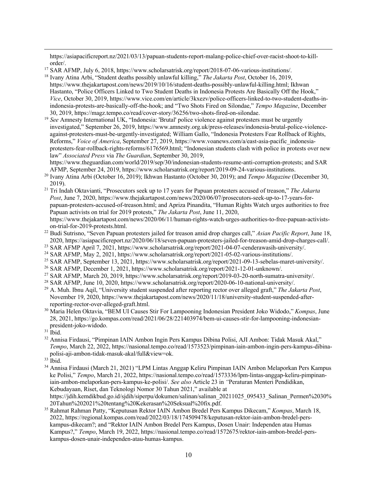https://asiapacificreport.nz/2021/03/13/papuan-students-report-malang-police-chief-over-racist-shoot-to-killorder/.

- <sup>18</sup> Ivany Atina Arbi, "Student deaths possibly unlawful killing," *The Jakarta Post*, October 16, 2019, https://www.thejakartapost.com/news/2019/10/16/student-deaths-possibly-unlawful-killing.html; Ikhwan Hastanto, "Police Officers Linked to Two Student Deaths in Indonesia Protests Are Basically Off the Hook," *Vice*, October 30, 2019, https://www.vice.com/en/article/3kxezv/police-officers-linked-to-two-student-deaths-inindonesia-protests-are-basically-off-the-hook; and "Two Shots Fired on Silondae," *Tempo Magazine*, December 30, 2019, https://magz.tempo.co/read/cover-story/36256/two-shots-fired-on-silondae.
- <sup>19</sup> See Amnesty International UK, "Indonesia: 'Brutal' police violence against protesters must be urgently investigated," September 26, 2019, https://www.amnesty.org.uk/press-releases/indonesia-brutal-police-violenceagainst-protesters-must-be-urgently-investigated; William Gallo, "Indonesia Protesters Fear Rollback of Rights, Reforms," *Voice of America*, September 27, 2019, https://www.voanews.com/a/east-asia-pacific\_indonesiaprotesters-fear-rollback-rights-reforms/6176569.html; "Indonesian students clash with police in protests over new law" *Associated Press* via *The Guardian*, September 30, 2019,

https://www.theguardian.com/world/2019/sep/30/indonesian-students-resume-anti-corruption-protests; and SAR AFMP, September 24, 2019, https://www.scholarsatrisk.org/report/2019-09-24-various-institutions.

- <sup>20</sup> Ivany Atina Arbi (October 16, 2019); Ikhwan Hastanto (October 30, 2019); and *Tempo Magazine* (December 30, 2019).
- <sup>21</sup> Tri Indah Oktavianti, "Prosecutors seek up to 17 years for Papuan protesters accused of treason," *The Jakarta Post*, June 7, 2020, https://www.thejakartapost.com/news/2020/06/07/prosecutors-seek-up-to-17-years-forpapuan-protesters-accused-of-treason.html; and Apriza Pinandita, "Human Rights Watch urges authorities to free Papuan activists on trial for 2019 protests," *The Jakarta Post*, June 11, 2020, https://www.thejakartapost.com/news/2020/06/11/human-rights-watch-urges-authorities-to-free-papuan-activistson-trial-for-2019-protests.html.
- <sup>22</sup> Budi Sutrisno, "Seven Papuan protesters jailed for treason amid drop charges call," *Asian Pacific Report*, June 18, 2020, https://asiapacificreport.nz/2020/06/18/seven-papuan-protesters-jailed-for-treason-amid-drop-charges-call/.
- <sup>23</sup> SAR AFMP April 7, 2021, https://www.scholarsatrisk.org/report/2021-04-07-cenderawasih-university/.
- <sup>24</sup> SAR AFMP, May 2, 2021, https://www.scholarsatrisk.org/report/2021-05-02-various-institutions/.
- <sup>25</sup> SAR AFMP, September 13, 2021, https://www.scholarsatrisk.org/report/2021-09-13-sebelas-maret-university/.
- <sup>26</sup> SAR AFMP, December 1, 2021, https://www.scholarsatrisk.org/report/2021-12-01-unknown/.
- <sup>27</sup> SAR AFMP, March 20, 2019, https://www.scholarsatrisk.org/report/2019-03-20-north-sumatra-university/.
- <sup>28</sup> SAR AFMP, June 10, 2020, https://www.scholarsatrisk.org/report/2020-06-10-national-university/.
- <sup>29</sup> A. Muh. Ibnu Aqil, "University student suspended after reporting rector over alleged graft," *The Jakarta Post*, November 19, 2020, https://www.thejakartapost.com/news/2020/11/18/university-student-suspended-afterreporting-rector-over-alleged-graft.html.
- <sup>30</sup> Maria Helen Oktavia, "BEM UI Causes Stir For Lampooning Indonesian President Joko Widodo," *Kompas*, June 28, 2021, https://go.kompas.com/read/2021/06/28/221403974/bem-ui-causes-stir-for-lampooning-indonesianpresident-joko-widodo.
- $31$  Ibid.
- <sup>32</sup> Annisa Firdausi, "Pimpinan IAIN Ambon Ingin Pers Kampus Dibina Polisi, AJI Ambon: Tidak Masuk Akal," *Tempo*, March 22, 2022, https://nasional.tempo.co/read/1573523/pimpinan-iain-ambon-ingin-pers-kampus-dibinapolisi-aji-ambon-tidak-masuk-akal/full&view=ok.
- <sup>33</sup> Ibid.
- <sup>34</sup> Annisa Firdausi (March 21, 2021) "LPM Lintas Anggap Keliru Pimpinan IAIN Ambon Melaporkan Pers Kampus ke Polisi," *Tempo*, March 21, 2022, https://nasional.tempo.co/read/1573336/lpm-lintas-anggap-keliru-pimpinaniain-ambon-melaporkan-pers-kampus-ke-polisi/. *See also* Article 23 in *"*Peraturan Menteri Pendidikan, Kebudayaan, Riset, dan Teknologi Nomor 30 Tahun 2021," available at

https://jdih.kemdikbud.go.id/sjdih/siperpu/dokumen/salinan/salinan\_20211025\_095433\_Salinan\_Permen%2030% 20Tahun%202021%20tentang%20Kekerasan%20Seksual%20fix.pdf.

<sup>35</sup> Rahmat Rahman Patty, "Keputusan Rektor IAIN Ambon Bredel Pers Kampus Dikecam," *Kompas*, March 18, 2022, https://regional.kompas.com/read/2022/03/18/174509478/keputusan-rektor-iain-ambon-bredel-perskampus-dikecam?; and "Rektor IAIN Ambon Bredel Pers Kampus, Dosen Unair: Independen atau Humas Kampus?," *Tempo*, March 19, 2022, https://nasional.tempo.co/read/1572675/rektor-iain-ambon-bredel-perskampus-dosen-unair-independen-atau-humas-kampus.

<sup>17</sup> SAR AFMP, July 6, 2018, https://www.scholarsatrisk.org/report/2018-07-06-various-institutions/.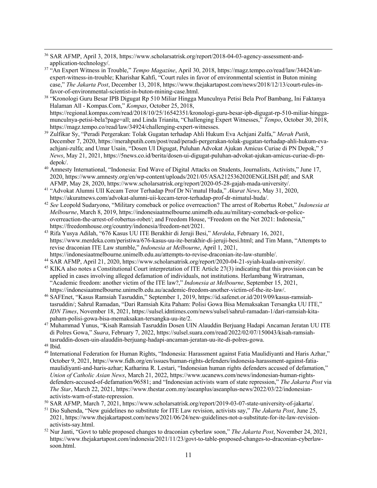- <sup>36</sup> SAR AFMP, April 3, 2018, https://www.scholarsatrisk.org/report/2018-04-03-agency-assessment-andapplication-technology/.
- <sup>37</sup> "An Expert Witness in Trouble," *Tempo Magazine*, April 30, 2018, https://magz.tempo.co/read/law/34424/anexpert-witness-in-trouble; Kharishar Kahfi, "Court rules in favor of environmental scientist in Buton mining case," *The Jakarta Post*, December 13, 2018, https://www.thejakartapost.com/news/2018/12/13/court-rules-infavor-of-environmental-scientist-in-buton-mining-case.html.
- <sup>38</sup> "Kronologi Guru Besar IPB Digugat Rp 510 Miliar Hingga Munculnya Petisi Bela Prof Bambang, Ini Faktanya Halaman All - Kompas.Com," *Kompas*, October 25, 2018, https://regional.kompas.com/read/2018/10/25/16542351/kronologi-guru-besar-ipb-digugat-rp-510-miliar-hinggamunculnya-petisi-bela?page=all; and Linda Trianita, "Challenging Expert Witnesses," *Tempo*, October 30, 2018,
- https://magz.tempo.co/read/law/34924/challenging-expert-witnesses. 39 Zulfikar Sy, "Peradi Pergerakan: Tolak Gugatan terhadap Ahli Hukum Eva Achjani Zulfa," *Merah Putih*, December 7, 2020, https://merahputih.com/post/read/peradi-pergerakan-tolak-gugatan-terhadap-ahli-hukum-evaachjani-zulfa; and Umar Usain, "Dosen UI Digugat, Puluhan Advokat Ajukan Amicus Curiae di PN Depok," *5 News*, May 21, 2021, https://5news.co.id/berita/dosen-ui-digugat-puluhan-advokat-ajukan-amicus-curiae-di-pndepok/.
- <sup>40</sup> Amnesty International, "Indonesia: End Wave of Digital Attacks on Students, Journalists, Activists," June 17, 2020, https://www.amnesty.org/en/wp-content/uploads/2021/05/ASA2125362020ENGLISH.pdf; and SAR AFMP, May 28, 2020, https://www.scholarsatrisk.org/report/2020-05-28-gajah-mada-university/.
- <sup>41</sup> "Advokat Alumni UII Kecam Teror Terhadap Prof Dr Ni'matul Huda," *Akurat News*, May 31, 2020, https://akuratnews.com/advokat-alumni-uii-kecam-teror-terhadap-prof-dr-nimatul-huda/.
- <sup>42</sup> *See* Leopold Sudaryono, "Military comeback or police overreaction? The arrest of Robertus Robet," *Indonesia at Melbourne*, March 8, 2019, https://indonesiaatmelbourne.unimelb.edu.au/military-comeback-or-policeoverreaction-the-arrest-of-robertus-robet/; and Freedom House, "Freedom on the Net 2021: Indonesia," https://freedomhouse.org/country/indonesia/freedom-net/2021.
- <sup>43</sup> Rifa Yusya Adilah, "676 Kasus UU ITE Berakhir di Jeruji Besi," *Merdeka*, February 16, 2021, https://www.merdeka.com/peristiwa/676-kasus-uu-ite-berakhir-di-jeruji-besi.html; and Tim Mann, "Attempts to revise draconian ITE Law stumble," *Indonesia at Melbourne*, April 1, 2021, https://indonesiaatmelbourne.unimelb.edu.au/attempts-to-revise-draconian-ite-law-stumble/.
- <sup>44</sup> SAR AFMP, April 21, 2020, https://www.scholarsatrisk.org/report/2020-04-21-syiah-kuala-university/.
- <sup>45</sup> KIKA also notes a Constitutional Court interpretation of ITE Article 27(3) indicating that this provision can be applied in cases involving alleged defamation of individuals, not institutions. Herlambang Wiratraman, "Academic freedom: another victim of the ITE law?," *Indonesia at Melbourne*, September 15, 2021, https://indonesiaatmelbourne.unimelb.edu.au/academic-freedom-another-victim-of-the-ite-law/.
- <sup>46</sup> SAFEnet, "Kasus Ramsiah Tasruddin," September 1, 2019, https://id.safenet.or.id/2019/09/kasus-ramsiahtasruddin/; Sahrul Ramadan, "Dari Ramsiah Kita Paham: Polisi Gowa Bisa Memaksakan Tersangka UU ITE," *IDN Times*, November 18, 2021, https://sulsel.idntimes.com/news/sulsel/sahrul-ramadan-1/dari-ramsiah-kitapaham-polisi-gowa-bisa-memaksakan-tersangka-uu-ite/2.
- <sup>47</sup> Muhammad Yunus, "Kisah Ramsiah Tasruddin Dosen UIN Alauddin Berjuang Hadapi Ancaman Jeratan UU ITE di Polres Gowa," *Suara*, February 7, 2022, https://sulsel.suara.com/read/2022/02/07/150043/kisah-ramsiahtasruddin-dosen-uin-alauddin-berjuang-hadapi-ancaman-jeratan-uu-ite-di-polres-gowa. <sup>48</sup> Ibid.
- <sup>49</sup> International Federation for Human Rights, "Indonesia: Harassment against Fatia Maulidiyanti and Haris Azhar," October 9, 2021, https://www.fidh.org/en/issues/human-rights-defenders/indonesia-harassment-against-fatiamaulidiyanti-and-haris-azhar; Katharina R. Lestari, "Indonesian human rights defenders accused of defamation," *Union of Catholic Asian News*, March 21, 2022, https://www.ucanews.com/news/indonesian-human-rightsdefenders-accused-of-defamation/96581; and "Indonesian activists warn of state repression," *The Jakarta Post* via *The Star*, March 22, 2021, https://www.thestar.com.my/aseanplus/aseanplus-news/2022/03/22/indonesianactivists-warn-of-state-repression.
- <sup>50</sup> SAR AFMP, March 7, 2021, https://www.scholarsatrisk.org/report/2019-03-07-state-university-of-jakarta/.
- <sup>51</sup> Dio Suhenda, "New guidelines no substitute for ITE Law revision, activists say," *The Jakarta Post*, June 25, 2021, https://www.thejakartapost.com/news/2021/06/24/new-guidelines-not-a-substitute-for-ite-law-revisionactivists-say.html.
- <sup>52</sup> Nur Janti, "Govt to table proposed changes to draconian cyberlaw soon," *The Jakarta Post*, November 24, 2021, https://www.thejakartapost.com/indonesia/2021/11/23/govt-to-table-proposed-changes-to-draconian-cyberlawsoon.html.